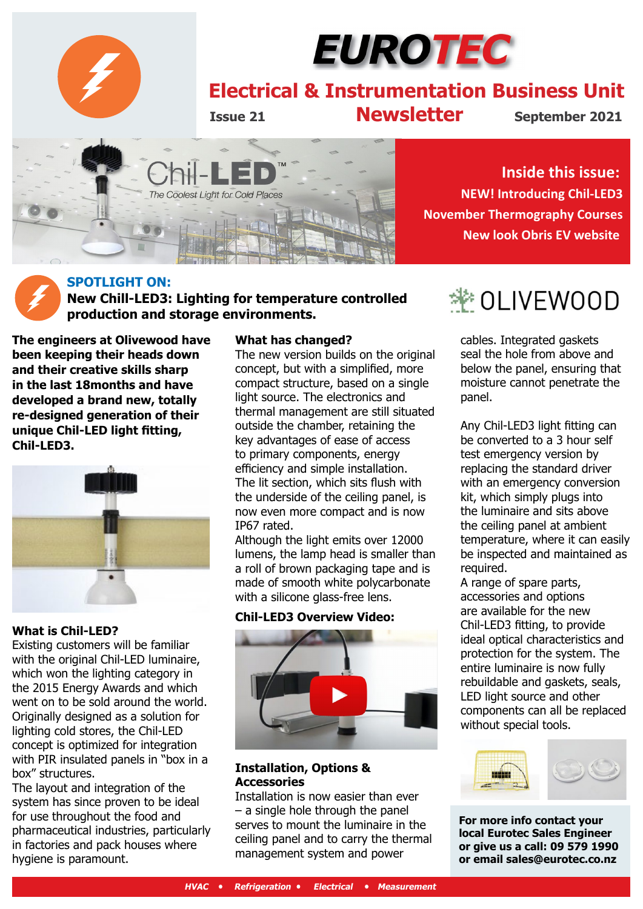

# EUROTEC

## **Electrical & Instrumentation Business Unit**

**Issue 21 Newsletter**

**September 2021**



**Inside this issue: NEW! Introducing Chil-LED3 November Thermography Courses New look Obris EV website**

#### **SPOTLIGHT ON: New Chill-LED3: Lighting for temperature controlled production and storage environments.**

**The engineers at Olivewood have been keeping their heads down and their creative skills sharp in the last 18months and have developed a brand new, totally re-designed generation of their unique Chil-LED light fitting, Chil-LED3.**



#### **What is Chil-LED?**

Existing customers will be familiar with the original Chil-LED luminaire, which won the lighting category in the 2015 Energy Awards and which went on to be sold around the world. Originally designed as a solution for lighting cold stores, the Chil-LED concept is optimized for integration with PIR insulated panels in "box in a box" structures.

The layout and integration of the system has since proven to be ideal for use throughout the food and pharmaceutical industries, particularly in factories and pack houses where hygiene is paramount.

#### **What has changed?**

The new version builds on the original concept, but with a simplified, more compact structure, based on a single light source. The electronics and thermal management are still situated outside the chamber, retaining the key advantages of ease of access to primary components, energy efficiency and simple installation. The lit section, which sits flush with the underside of the ceiling panel, is now even more compact and is now IP67 rated.

Although the light emits over 12000 lumens, the lamp head is smaller than a roll of brown packaging tape and is made of smooth white polycarbonate with a silicone glass-free lens.

#### **Chil-LED3 Overview Video:**



#### **Installation, Options & Accessories**

Installation is now easier than ever – a single hole through the panel serves to mount the luminaire in the ceiling panel and to carry the thermal management system and power

## † OLIVEWOOD

cables. Integrated gaskets seal the hole from above and below the panel, ensuring that moisture cannot penetrate the panel.

Any Chil-LED3 light fitting can be converted to a 3 hour self test emergency version by replacing the standard driver with an emergency conversion kit, which simply plugs into the luminaire and sits above the ceiling panel at ambient temperature, where it can easily be inspected and maintained as required.

A range of spare parts, accessories and options are available for the new Chil-LED3 fitting, to provide ideal optical characteristics and protection for the system. The entire luminaire is now fully rebuildable and gaskets, seals, LED light source and other components can all be replaced without special tools.



**For more info contact your local Eurotec Sales Engineer or give us a call: 09 579 1990 or email sales@eurotec.co.nz**